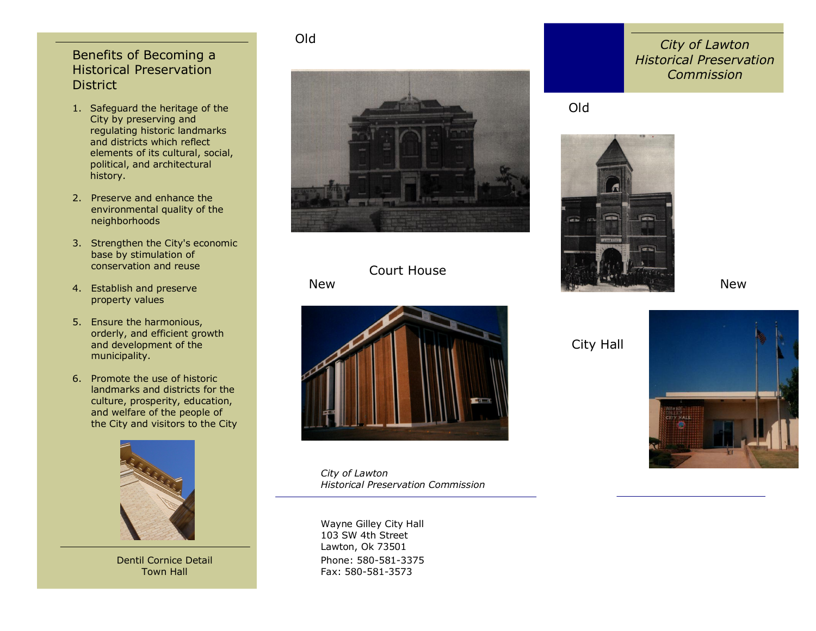### Benefits of Becoming a Historical Preservation **District**

- 1. Safeguard the heritage of the City by preserving and regulating historic landmarks and districts which reflect elements of its cultural, social, political, and architectural history.
- 2. Preserve and enhance the environmental quality of the neighborhoods
- 3. Strengthen the City's economic base by stimulation of conservation and reuse
- 4. Establish and preserve property values
- 5. Ensure the harmonious, orderly, and efficient growth and development of the municipality.
- 6. Promote the use of historic landmarks and districts for the culture, prosperity, education, and welfare of the people of the City and visitors to the City



Dentil Cornice Detail Town Hall

#### Old

New



# Court House



*City of Lawton Historical Preservation Commission*

Phone: 580-581-3375 Fax: 580-581-3573 Wayne Gilley City Hall 103 SW 4th Street Lawton, Ok 73501

## *City of Lawton Historical Preservation Commission*

# Old



#### New

City Hall